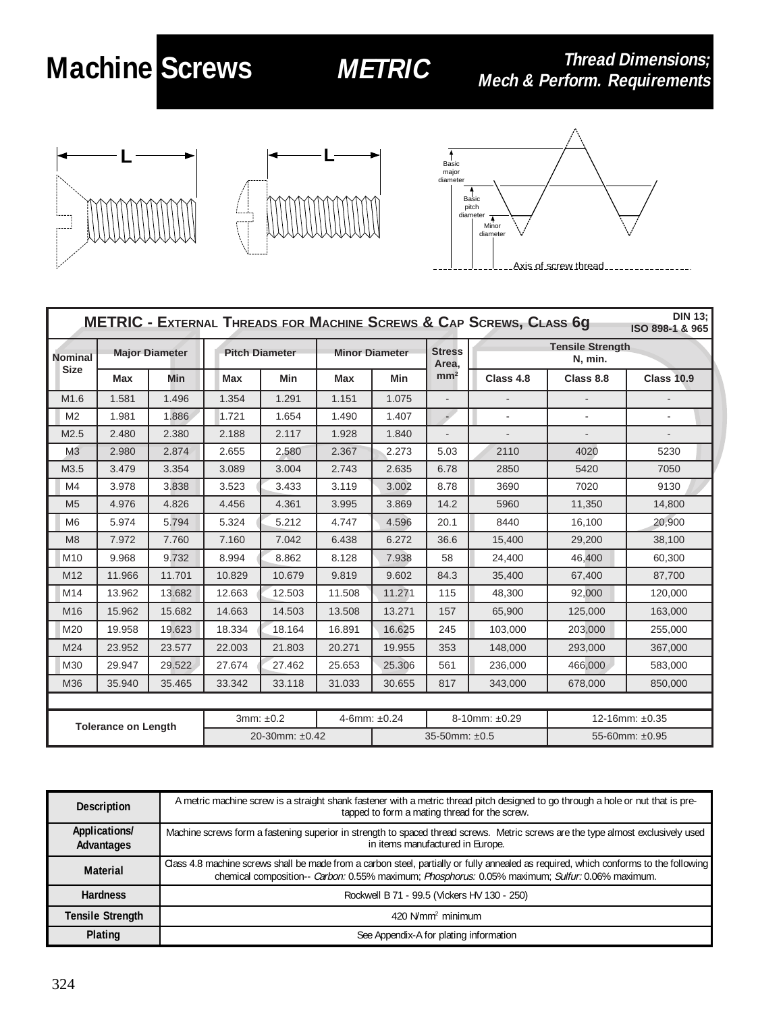## **Machine Screws**

## **METRIC**

**Thread Dimensions;** Mech & Perform. Requirements







| <b>DIN 13:</b><br><b>METRIC - EXTERNAL THREADS FOR MACHINE SCREWS &amp; CAP SCREWS, CLASS 6G</b><br>ISO 898-1 & 965 |                       |        |                       |        |                       |                   |                              |                                    |                          |                          |
|---------------------------------------------------------------------------------------------------------------------|-----------------------|--------|-----------------------|--------|-----------------------|-------------------|------------------------------|------------------------------------|--------------------------|--------------------------|
| <b>Nominal</b><br><b>Size</b>                                                                                       | <b>Major Diameter</b> |        | <b>Pitch Diameter</b> |        | <b>Minor Diameter</b> |                   | <b>Stress</b><br>Area,       | <b>Tensile Strength</b><br>N, min. |                          |                          |
|                                                                                                                     | Max                   | Min    | Max                   | Min    | Max                   | Min               | mm <sup>2</sup>              | Class 4.8                          | Class 8.8                | <b>Class 10.9</b>        |
| M <sub>1.6</sub>                                                                                                    | 1.581                 | 1.496  | 1.354                 | 1.291  | 1.151                 | 1.075             | $\overline{\phantom{a}}$     |                                    | $\blacksquare$           |                          |
| M <sub>2</sub>                                                                                                      | 1.981                 | 1.886  | 1.721                 | 1.654  | 1.490                 | 1.407             | $\Rightarrow$                | $\sim$                             | $\overline{\phantom{a}}$ | $\mathbf{r}$             |
| M2.5                                                                                                                | 2.480                 | 2.380  | 2.188                 | 2.117  | 1.928                 | 1.840             | $\qquad \qquad \blacksquare$ | $\overline{\phantom{a}}$           | $\overline{\phantom{a}}$ | $\overline{\phantom{a}}$ |
| M <sub>3</sub>                                                                                                      | 2.980                 | 2.874  | 2.655                 | 2.580  | 2.367                 | 2.273             | 5.03                         | 2110                               | 4020                     | 5230                     |
| M3.5                                                                                                                | 3.479                 | 3.354  | 3.089                 | 3.004  | 2.743                 | 2.635             | 6.78                         | 2850                               | 5420                     | 7050                     |
| M4                                                                                                                  | 3.978                 | 3.838  | 3.523                 | 3.433  | 3.119                 | 3.002             | 8.78                         | 3690                               | 7020                     | 9130                     |
| M <sub>5</sub>                                                                                                      | 4.976                 | 4.826  | 4.456                 | 4.361  | 3.995                 | 3.869             | 14.2                         | 5960                               | 11,350                   | 14,800                   |
| M <sub>6</sub>                                                                                                      | 5.974                 | 5.794  | 5.324                 | 5.212  | 4.747                 | 4.596             | 20.1                         | 8440                               | 16,100                   | 20.900                   |
| M <sub>8</sub>                                                                                                      | 7.972                 | 7.760  | 7.160                 | 7.042  | 6.438                 | 6.272             | 36.6                         | 15,400                             | 29,200                   | 38,100                   |
| M <sub>10</sub>                                                                                                     | 9.968                 | 9.732  | 8.994                 | 8.862  | 8.128                 | 7.938             | 58                           | 24,400                             | 46,400                   | 60,300                   |
| M <sub>12</sub>                                                                                                     | 11.966                | 11.701 | 10.829                | 10.679 | 9.819                 | 9.602             | 84.3                         | 35,400                             | 67,400                   | 87,700                   |
| M14                                                                                                                 | 13.962                | 13.682 | 12.663                | 12.503 | 11.508                | 11.271            | 115                          | 48,300                             | 92.000                   | 120,000                  |
| M <sub>16</sub>                                                                                                     | 15.962                | 15.682 | 14.663                | 14.503 | 13.508                | 13.271            | 157                          | 65,900                             | 125,000                  | 163,000                  |
| M20                                                                                                                 | 19.958                | 19.623 | 18.334                | 18.164 | 16.891                | 16.625            | 245                          | 103.000                            | 203,000                  | 255.000                  |
| M24                                                                                                                 | 23.952                | 23.577 | 22.003                | 21.803 | 20.271                | 19.955            | 353                          | 148,000                            | 293,000                  | 367,000                  |
| M30                                                                                                                 | 29.947                | 29.522 | 27.674                | 27.462 | 25.653                | 25.306            | 561                          | 236,000                            | 466,000                  | 583,000                  |
| M36                                                                                                                 | 35.940                | 35.465 | 33.342                | 33.118 | 31.033                | 30.655            | 817                          | 343,000                            | 678,000                  | 850,000                  |
|                                                                                                                     |                       |        |                       |        |                       |                   |                              |                                    |                          |                          |
| <b>Tolerance on Length</b>                                                                                          |                       |        | 3mm: ±0.2             |        |                       | 4-6mm: $\pm 0.24$ |                              | 8-10mm: ±0.29                      | 12-16mm: ±0.35           |                          |
|                                                                                                                     |                       |        | 20-30mm: $\pm 0.42$   |        |                       | 35-50mm: $±0.5$   |                              |                                    | 55-60mm: ±0.95           |                          |

| <b>Description</b>          | A metric machine screw is a straight shank fastener with a metric thread pitch designed to go through a hole or nut that is pre-<br>tapped to form a mating thread for the screw.                                                       |  |  |  |  |
|-----------------------------|-----------------------------------------------------------------------------------------------------------------------------------------------------------------------------------------------------------------------------------------|--|--|--|--|
| Applications/<br>Advantages | Machine screws form a fastening superior in strength to spaced thread screws. Metric screws are the type almost exclusively used<br>in items manufactured in Europe.                                                                    |  |  |  |  |
| <b>Material</b>             | Class 4.8 machine screws shall be made from a carbon steel, partially or fully annealed as required, which conforms to the following<br>chemical composition-- Carbon: 0.55% maximum; Phosphorus: 0.05% maximum; Sulfur: 0.06% maximum. |  |  |  |  |
| <b>Hardness</b>             | Rockwell B 71 - 99.5 (Vickers HV 130 - 250)                                                                                                                                                                                             |  |  |  |  |
| <b>Tensile Strength</b>     | $420$ N/mm <sup>2</sup> minimum                                                                                                                                                                                                         |  |  |  |  |
| Plating                     | See Appendix-A for plating information                                                                                                                                                                                                  |  |  |  |  |